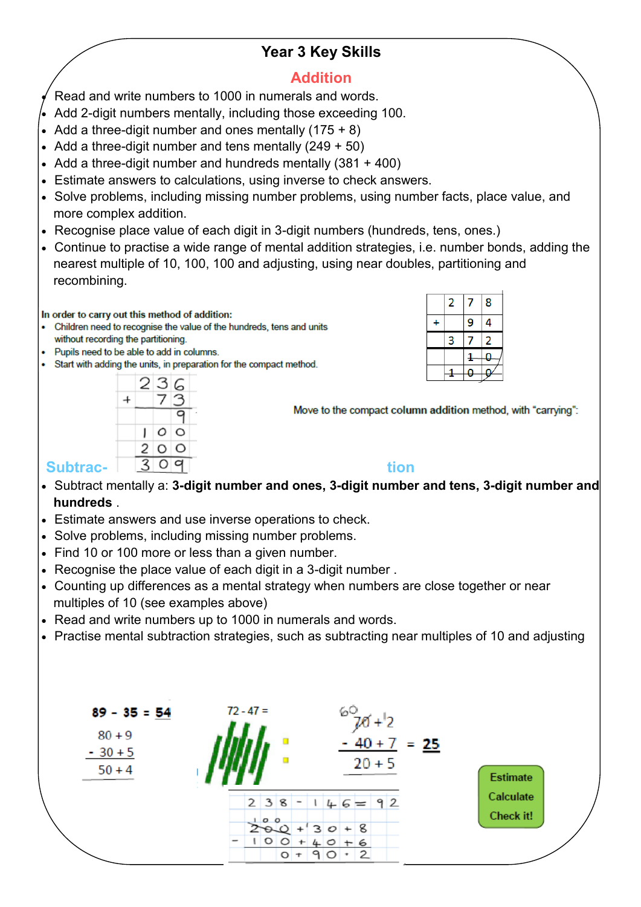# **Year 3 Key Skills**

### **Addition**

Read and write numbers to 1000 in numerals and words.

- Add 2-digit numbers mentally, including those exceeding 100.
- Add a three-digit number and ones mentally  $(175 + 8)$
- Add a three-digit number and tens mentally  $(249 + 50)$
- Add a three-digit number and hundreds mentally (381 + 400)
- Estimate answers to calculations, using inverse to check answers.
- Solve problems, including missing number problems, using number facts, place value, and more complex addition.
- Recognise place value of each digit in 3-digit numbers (hundreds, tens, ones.)
- Continue to practise a wide range of mental addition strategies, i.e. number bonds, adding the nearest multiple of 10, 100, 100 and adjusting, using near doubles, partitioning and recombining.

In order to carry out this method of addition:

- Children need to recognise the value of the hundreds, tens and units without recording the partitioning.
- Pupils need to be able to add in columns.
- Start with adding the units, in preparation for the compact method.

|                 |  | 236 |                           |
|-----------------|--|-----|---------------------------|
|                 |  |     | Move to the compact colur |
|                 |  |     |                           |
|                 |  |     |                           |
| <b>Subtrac-</b> |  |     | tion                      |

Move to the compact column addition method, with "carrying":

 $\overline{2}$ 7 8

3

 $\overline{1}$ 

9 Δ

 $\overline{2}$ 7

 $\mathbf{Q}$ 1

 $\ddot{}$ 

- Subtract mentally a: **3-digit number and ones, 3-digit number and tens, 3-digit number and hundreds** .
- Estimate answers and use inverse operations to check.
- Solve problems, including missing number problems.
- Find 10 or 100 more or less than a given number.
- Recognise the place value of each digit in a 3-digit number .
- Counting up differences as a mental strategy when numbers are close together or near multiples of 10 (see examples above)
- Read and write numbers up to 1000 in numerals and words.
- Practise mental subtraction strategies, such as subtracting near multiples of 10 and adjusting